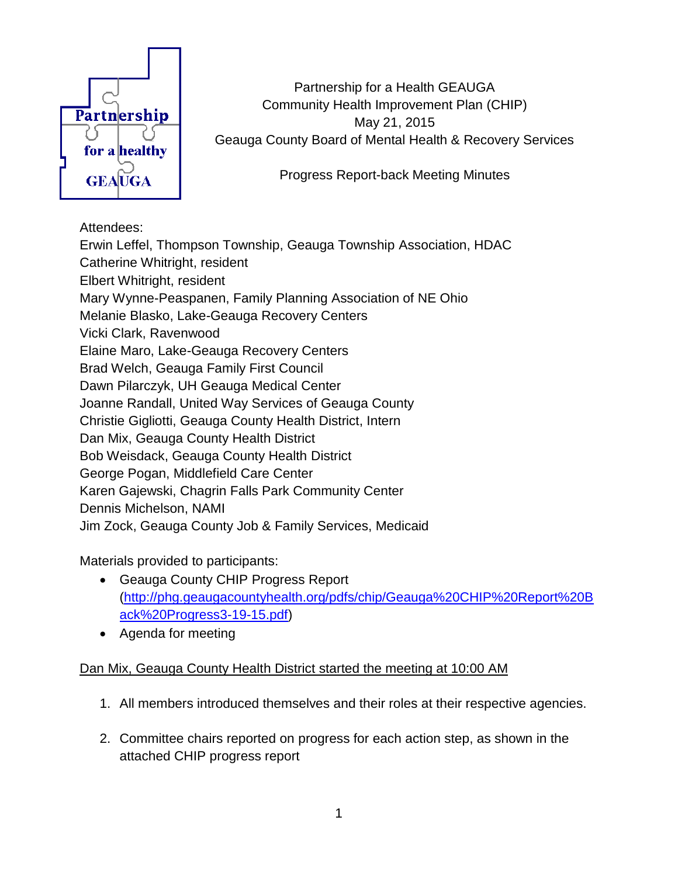

Partnership for a Health GEAUGA Community Health Improvement Plan (CHIP) May 21, 2015 Geauga County Board of Mental Health & Recovery Services

Progress Report-back Meeting Minutes

## Attendees:

Erwin Leffel, Thompson Township, Geauga Township Association, HDAC Catherine Whitright, resident Elbert Whitright, resident Mary Wynne-Peaspanen, Family Planning Association of NE Ohio Melanie Blasko, Lake-Geauga Recovery Centers Vicki Clark, Ravenwood Elaine Maro, Lake-Geauga Recovery Centers Brad Welch, Geauga Family First Council Dawn Pilarczyk, UH Geauga Medical Center Joanne Randall, United Way Services of Geauga County Christie Gigliotti, Geauga County Health District, Intern Dan Mix, Geauga County Health District Bob Weisdack, Geauga County Health District George Pogan, Middlefield Care Center Karen Gajewski, Chagrin Falls Park Community Center Dennis Michelson, NAMI Jim Zock, Geauga County Job & Family Services, Medicaid

Materials provided to participants:

- Geauga County CHIP Progress Report [\(http://phg.geaugacountyhealth.org/pdfs/chip/Geauga%20CHIP%20Report%20B](http://phg.geaugacountyhealth.org/pdfs/chip/Geauga%20CHIP%20Report%20Back%20Progress3-19-15.pdf) [ack%20Progress3-19-15.pdf\)](http://phg.geaugacountyhealth.org/pdfs/chip/Geauga%20CHIP%20Report%20Back%20Progress3-19-15.pdf)
- Agenda for meeting

## Dan Mix, Geauga County Health District started the meeting at 10:00 AM

- 1. All members introduced themselves and their roles at their respective agencies.
- 2. Committee chairs reported on progress for each action step, as shown in the attached CHIP progress report